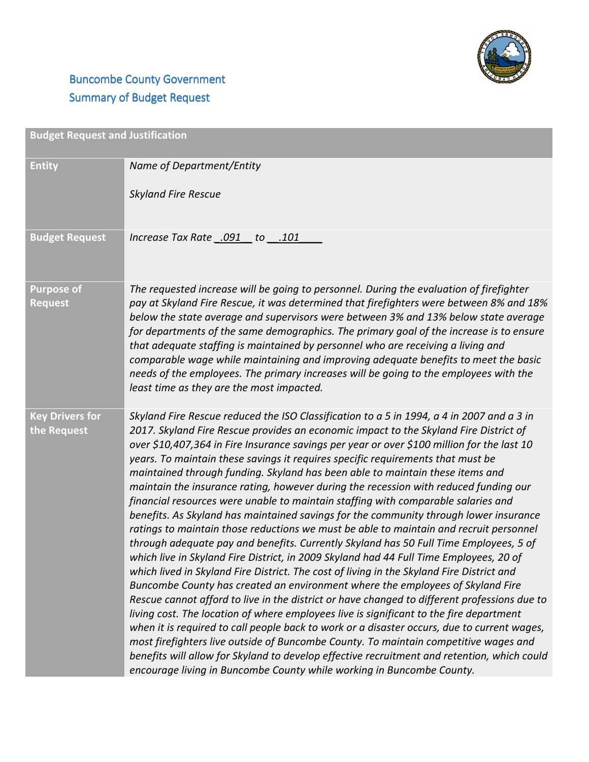

## **Buncombe County Government** Summary of Budget Request

| <b>Budget Request and Justification</b> |                                                                                                                                                                                                                                                                                                                                                                                                                                                                                                                                                                                                                                                                                                                                                                                                                                                                                                                                                                                                                                                                                                                                                                                                                                                                                                                                                                                                                                                                                                                                                                                                                                                                                                                                                  |
|-----------------------------------------|--------------------------------------------------------------------------------------------------------------------------------------------------------------------------------------------------------------------------------------------------------------------------------------------------------------------------------------------------------------------------------------------------------------------------------------------------------------------------------------------------------------------------------------------------------------------------------------------------------------------------------------------------------------------------------------------------------------------------------------------------------------------------------------------------------------------------------------------------------------------------------------------------------------------------------------------------------------------------------------------------------------------------------------------------------------------------------------------------------------------------------------------------------------------------------------------------------------------------------------------------------------------------------------------------------------------------------------------------------------------------------------------------------------------------------------------------------------------------------------------------------------------------------------------------------------------------------------------------------------------------------------------------------------------------------------------------------------------------------------------------|
| <b>Entity</b>                           | Name of Department/Entity<br><b>Skyland Fire Rescue</b>                                                                                                                                                                                                                                                                                                                                                                                                                                                                                                                                                                                                                                                                                                                                                                                                                                                                                                                                                                                                                                                                                                                                                                                                                                                                                                                                                                                                                                                                                                                                                                                                                                                                                          |
| <b>Budget Request</b>                   | lncrease Tax Rate .091 to .101                                                                                                                                                                                                                                                                                                                                                                                                                                                                                                                                                                                                                                                                                                                                                                                                                                                                                                                                                                                                                                                                                                                                                                                                                                                                                                                                                                                                                                                                                                                                                                                                                                                                                                                   |
| <b>Purpose of</b><br><b>Request</b>     | The requested increase will be going to personnel. During the evaluation of firefighter<br>pay at Skyland Fire Rescue, it was determined that firefighters were between 8% and 18%<br>below the state average and supervisors were between 3% and 13% below state average<br>for departments of the same demographics. The primary goal of the increase is to ensure<br>that adequate staffing is maintained by personnel who are receiving a living and<br>comparable wage while maintaining and improving adequate benefits to meet the basic<br>needs of the employees. The primary increases will be going to the employees with the<br>least time as they are the most impacted.                                                                                                                                                                                                                                                                                                                                                                                                                                                                                                                                                                                                                                                                                                                                                                                                                                                                                                                                                                                                                                                            |
| <b>Key Drivers for</b><br>the Request   | Skyland Fire Rescue reduced the ISO Classification to a 5 in 1994, a 4 in 2007 and a 3 in<br>2017. Skyland Fire Rescue provides an economic impact to the Skyland Fire District of<br>over \$10,407,364 in Fire Insurance savings per year or over \$100 million for the last 10<br>years. To maintain these savings it requires specific requirements that must be<br>maintained through funding. Skyland has been able to maintain these items and<br>maintain the insurance rating, however during the recession with reduced funding our<br>financial resources were unable to maintain staffing with comparable salaries and<br>benefits. As Skyland has maintained savings for the community through lower insurance<br>ratings to maintain those reductions we must be able to maintain and recruit personnel<br>through adequate pay and benefits. Currently Skyland has 50 Full Time Employees, 5 of<br>which live in Skyland Fire District, in 2009 Skyland had 44 Full Time Employees, 20 of<br>which lived in Skyland Fire District. The cost of living in the Skyland Fire District and<br>Buncombe County has created an environment where the employees of Skyland Fire<br>Rescue cannot afford to live in the district or have changed to different professions due to<br>living cost. The location of where employees live is significant to the fire department<br>when it is required to call people back to work or a disaster occurs, due to current wages,<br>most firefighters live outside of Buncombe County. To maintain competitive wages and<br>benefits will allow for Skyland to develop effective recruitment and retention, which could<br>encourage living in Buncombe County while working in Buncombe County. |